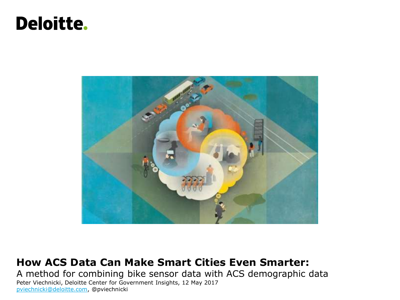## **Deloitte.**



#### **How ACS Data Can Make Smart Cities Even Smarter:**

A method for combining bike sensor data with ACS demographic data Peter Viechnicki, Deloitte Center for Government Insights, 12 May 2017 [pviechnicki@deloitte.com](mailto:pviechnicki@deloitte.com), @pviechnicki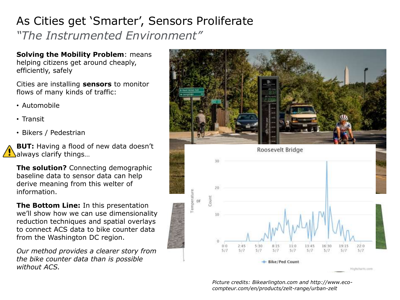## As Cities get 'Smarter', Sensors Proliferate *"The Instrumented Environment"*

**Solving the Mobility Problem**: means helping citizens get around cheaply, efficiently, safely

Cities are installing **sensors** to monitor flows of many kinds of traffic:

- Automobile
- Transit
- Bikers / Pedestrian

**BUT:** Having a flood of new data doesn't always clarify things...

**The solution?** Connecting demographic baseline data to sensor data can help derive meaning from this welter of information.

**The Bottom Line:** In this presentation we'll show how we can use dimensionality reduction techniques and spatial overlays to connect ACS data to bike counter data from the Washington DC region.

*Our method provides a clearer story from the bike counter data than is possible without ACS.*



*Picture credits: Bikearlington.com and http://www.ecocompteur.com/en/products/zelt-range/urban-zelt*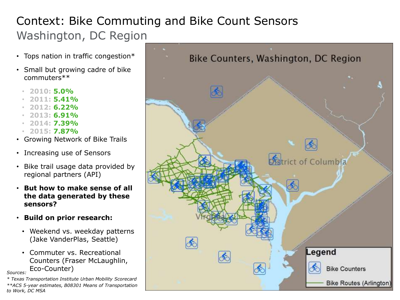## Context: Bike Commuting and Bike Count Sensors Washington, DC Region

- Tops nation in traffic congestion\*
- Small but growing cadre of bike commuters\*\*
	- **2010: 5.0%**
	- **2011: 5.41%**
	- **2012: 6.22%**
	- **2013: 6.91%**
	- **2014: 7.39%**
	- **2015: 7.87%**
- Growing Network of Bike Trails
- Increasing use of Sensors
- Bike trail usage data provided by regional partners (API)
- **But how to make sense of all the data generated by these sensors?**
- **Build on prior research:**
	- Weekend vs. weekday patterns (Jake VanderPlas, Seattle)
- Commuter vs. Recreational Counters (Fraser McLaughlin, Eco-Counter) *Sources:*

*\* Texas Transportation Institute Urban Mobility Scorecard \*\*ACS 5-year estimates, B08301 Means of Transportation to Work, DC MSA*

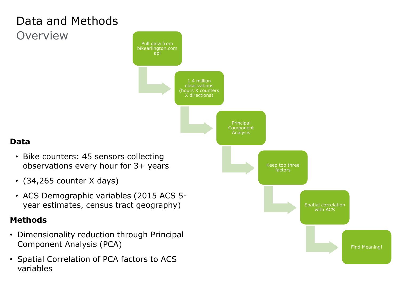## Data and Methods **Overview**



### **Data**

- Bike counters: 45 sensors collecting observations every hour for 3+ years
- (34,265 counter X days)
- ACS Demographic variables (2015 ACS 5 year estimates, census tract geography)

#### **Methods**

- Dimensionality reduction through Principal Component Analysis (PCA)
- Spatial Correlation of PCA factors to ACS variables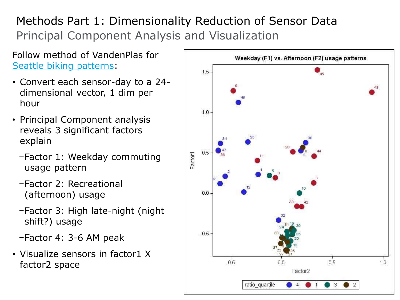## Methods Part 1: Dimensionality Reduction of Sensor Data Principal Component Analysis and Visualization

Follow method of VandenPlas for [Seattle biking patterns](https://jakevdp.github.io/blog/2015/07/23/learning-seattles-work-habits-from-bicycle-counts/):

- Convert each sensor-day to a 24 dimensional vector, 1 dim per hour
- Principal Component analysis reveals 3 significant factors explain
	- −Factor 1: Weekday commuting usage pattern
	- −Factor 2: Recreational (afternoon) usage
	- −Factor 3: High late-night (night shift?) usage
	- −Factor 4: 3-6 AM peak
- Visualize sensors in factor1 X factor2 space

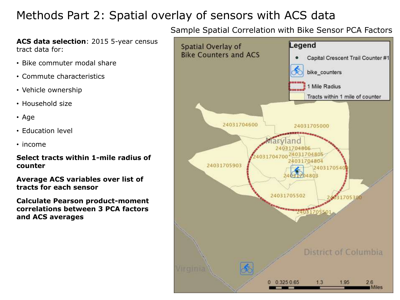## Methods Part 2: Spatial overlay of sensors with ACS data

**ACS data selection**: 2015 5-year census tract data for:

- Bike commuter modal share
- Commute characteristics
- Vehicle ownership
- Household size
- Age
- Education level
- income

**Select tracts within 1-mile radius of counter**

**Average ACS variables over list of tracts for each sensor**

**Calculate Pearson product-moment correlations between 3 PCA factors and ACS averages**

#### Sample Spatial Correlation with Bike Sensor PCA Factors

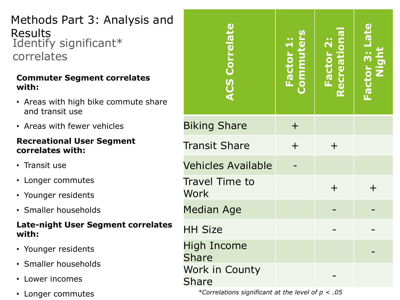Methods Part 3: Analysis and Results Identify significant\* correlates

#### **Commuter Segment correlates with:**

- Areas with high bike commute share and transit use
- Areas with fewer vehicles

#### **Recreational User Segment correlates with:**

- Transit use
- Longer commutes
- Younger residents
- Smaller households

#### **Late-night User Segment correlates with:**

- Younger residents
- Smaller households
- Lower incomes
- Longer commutes

| <b>ACS Correlate</b>                 | Factor 1:<br>Commuters | Factor 2:<br>Recreational | Factor 3: Late |
|--------------------------------------|------------------------|---------------------------|----------------|
| <b>Biking Share</b>                  | $\pm$                  |                           |                |
| <b>Transit Share</b>                 | $\overline{+}$         | $\pm$                     |                |
| <b>Vehicles Available</b>            |                        |                           |                |
| <b>Travel Time to</b><br><b>Work</b> |                        | $+$                       |                |
| <b>Median Age</b>                    |                        |                           |                |
| <b>HH Size</b>                       |                        |                           |                |
| <b>High Income</b><br><b>Share</b>   |                        |                           |                |
| Work in County<br><b>Share</b>       |                        |                           |                |

*\*Correlations significant at the level of p < .05*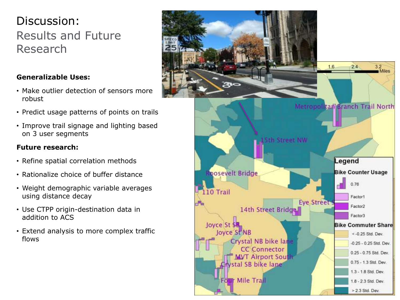## Discussion: Results and Future Research

#### **Generalizable Uses:**

- Make outlier detection of sensors more robust
- Predict usage patterns of points on trails
- Improve trail signage and lighting based on 3 user segments

#### **Future research:**

- Refine spatial correlation methods
- Rationalize choice of buffer distance
- Weight demographic variable averages using distance decay
- Use CTPP origin-destination data in addition to ACS
- Extend analysis to more complex traffic flows